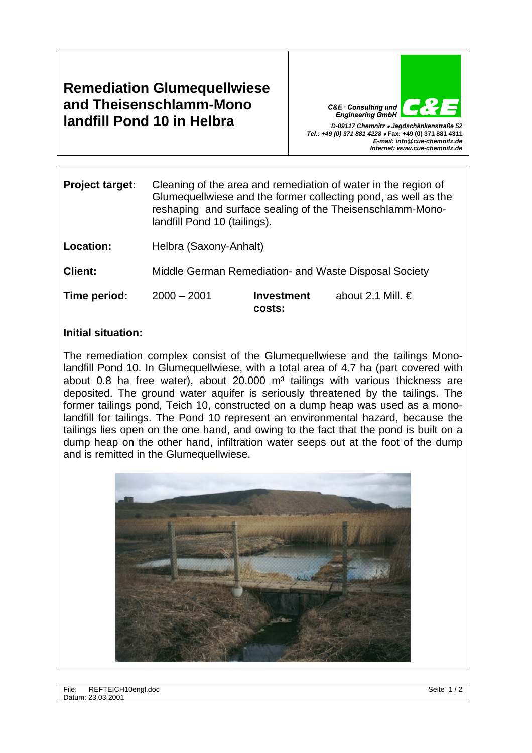**Remediation Glumequellwiese and Theisenschlamm-Mono landfill Pond 10 in Helbra** *D-09117 Chemnitz* • *Jagdschänkenstraße 52* 

C&E · Consulting und *Tel.: +49 (0) 371 881 4228* • **Fax: +49 (0) 371 881 4311**  *E-mail: info@cue-chemnitz.de Internet: www.cue-chemnitz.de*

| <b>Project target:</b> | Cleaning of the area and remediation of water in the region of<br>Glumequellwiese and the former collecting pond, as well as the<br>reshaping and surface sealing of the Theisenschlamm-Mono-<br>landfill Pond 10 (tailings). |                             |                     |
|------------------------|-------------------------------------------------------------------------------------------------------------------------------------------------------------------------------------------------------------------------------|-----------------------------|---------------------|
| Location:              | Helbra (Saxony-Anhalt)                                                                                                                                                                                                        |                             |                     |
| <b>Client:</b>         | Middle German Remediation- and Waste Disposal Society                                                                                                                                                                         |                             |                     |
| Time period:           | $2000 - 2001$                                                                                                                                                                                                                 | <b>Investment</b><br>costs: | about 2.1 Mill. $€$ |

## **Initial situation:**

The remediation complex consist of the Glumequellwiese and the tailings Monolandfill Pond 10. In Glumequellwiese, with a total area of 4.7 ha (part covered with about 0.8 ha free water), about 20.000  $m<sup>3</sup>$  tailings with various thickness are deposited. The ground water aquifer is seriously threatened by the tailings. The former tailings pond, Teich 10, constructed on a dump heap was used as a monolandfill for tailings. The Pond 10 represent an environmental hazard, because the tailings lies open on the one hand, and owing to the fact that the pond is built on a dump heap on the other hand, infiltration water seeps out at the foot of the dump and is remitted in the Glumequellwiese.